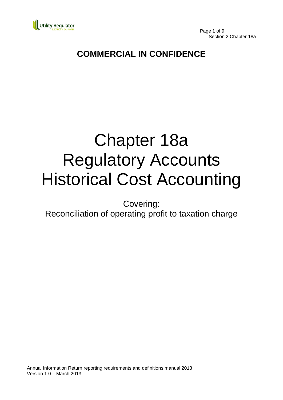

Page 1 of 9 Section 2 Chapter 18a

# **COMMERCIAL IN CONFIDENCE**

# Chapter 18a Regulatory Accounts Historical Cost Accounting

Covering:

Reconciliation of operating profit to taxation charge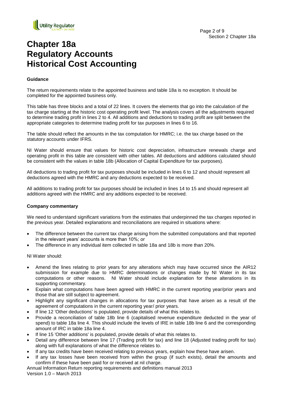

## **Chapter 18a Regulatory Accounts Historical Cost Accounting**

#### **Guidance**

The return requirements relate to the appointed business and table 18a is no exception. It should be completed for the appointed business only.

This table has three blocks and a total of 22 lines. It covers the elements that go into the calculation of the tax charge starting at the historic cost operating profit level. The analysis covers all the adjustments required to determine trading profit in lines 2 to 4. All additions and deductions to trading profit are split between the appropriate categories to determine trading profit for tax purposes in lines 6 to 16.

The table should reflect the amounts in the tax computation for HMRC; i.e. the tax charge based on the statutory accounts under IFRS.

NI Water should ensure that values for historic cost depreciation, infrastructure renewals charge and operating profit in this table are consistent with other tables. All deductions and additions calculated should be consistent with the values in table 18b (Allocation of Capital Expenditure for tax purposes).

All deductions to trading profit for tax purposes should be included in lines 6 to 12 and should represent all deductions agreed with the HMRC and any deductions expected to be received.

All additions to trading profit for tax purposes should be included in lines 14 to 15 and should represent all additions agreed with the HMRC and any additions expected to be received.

#### **Company commentary**

We need to understand significant variations from the estimates that underpinned the tax charges reported in the previous year. Detailed explanations and reconciliations are required in situations where:

- The difference between the current tax charge arising from the submitted computations and that reported in the relevant years' accounts is more than 10%; or
- The difference in any individual item collected in table 18a and 18b is more than 20%.

NI Water should:

- Amend the lines relating to prior years for any alterations which may have occurred since the AIR12 submission for example due to HMRC determinations or changes made by NI Water in its tax computations or other reasons. NI Water should include explanation for these alterations in its supporting commentary.
- Explain what computations have been agreed with HMRC in the current reporting year/prior years and those that are still subject to agreement.
- Highlight any significant changes in allocations for tax purposes that have arisen as a result of the agreement of computations in the current reporting year/ prior years.
- If line 12 'Other deductions' is populated, provide details of what this relates to.
- Provide a reconciliation of table 18b line 6 (capitalised revenue expenditure deducted in the year of spend) to table 18a line 4. This should include the levels of IRE in table 18b line 6 and the corresponding amount of IRC in table 18a line 4.
- If line 15 'Other additions' is populated, provide details of what this relates to.
- Detail any difference between line 17 (Trading profit for tax) and line 18 (Adjusted trading profit for tax) along with full explanations of what the difference relates to.
- If any tax credits have been received relating to previous years, explain how these have arisen.
- If any tax losses have been received from within the group (if such exists), detail the amounts and confirm if these have been paid for or received at nil charge.

Annual Information Return reporting requirements and definitions manual 2013 Version 1.0 – March 2013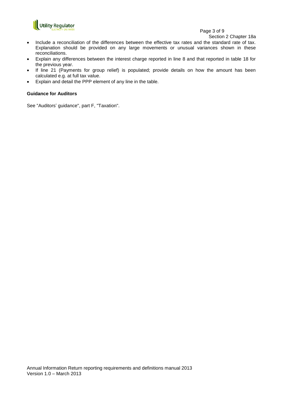

#### Page 3 of 9

Section 2 Chapter 18a

- Include a reconciliation of the differences between the effective tax rates and the standard rate of tax. Explanation should be provided on any large movements or unusual variances shown in these reconciliations.
- Explain any differences between the interest charge reported in line 8 and that reported in table 18 for the previous year.
- If line 21 (Payments for group relief) is populated; provide details on how the amount has been calculated e.g. at full tax value.
- Explain and detail the PPP element of any line in the table.

#### **Guidance for Auditors**

See "Auditors' guidance", part F, "Taxation".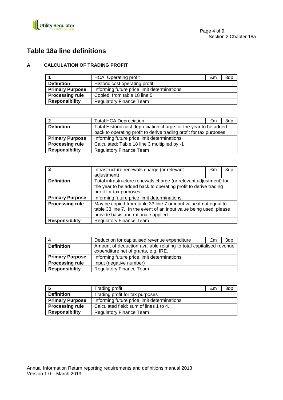

## **Table 18a line definitions**

#### **A CALCULATION OF TRADING PROFIT**

|                        | <b>HCA</b> Operating profit                 | £m | 3dp |
|------------------------|---------------------------------------------|----|-----|
| <b>Definition</b>      | Historic cost operating profit              |    |     |
| <b>Primary Purpose</b> | Informing future price limit determinations |    |     |
| <b>Processing rule</b> | Copied: from table 18 line 5                |    |     |
| <b>Responsibility</b>  | <b>Regulatory Finance Team</b>              |    |     |

| 12                     | <b>Total HCA Depreciation</b>                                       | £m. | 3d <sub>p</sub> |
|------------------------|---------------------------------------------------------------------|-----|-----------------|
| <b>Definition</b>      | Total Historic cost depreciation charge for the year to be added    |     |                 |
|                        | back to operating profit to derive trading profit for tax purposes. |     |                 |
| <b>Primary Purpose</b> | Informing future price limit determinations                         |     |                 |
| <b>Processing rule</b> | Calculated: Table 18 line 3 multiplied by -1                        |     |                 |
| <b>Responsibility</b>  | <b>Regulatory Finance Team</b>                                      |     |                 |

|                        | Infrastructure renewals charge (or relevant                                                                                                                                     | £m | 3dp |
|------------------------|---------------------------------------------------------------------------------------------------------------------------------------------------------------------------------|----|-----|
|                        | adjustment)                                                                                                                                                                     |    |     |
| <b>Definition</b>      | Total infrastructure renewals charge (or relevant adjustment) for                                                                                                               |    |     |
|                        | the year to be added back to operating profit to derive trading                                                                                                                 |    |     |
|                        | profit for tax purposes.                                                                                                                                                        |    |     |
| <b>Primary Purpose</b> | Informing future price limit determinations                                                                                                                                     |    |     |
| <b>Processing rule</b> | May be copied from table 33 line 7 or input value if not equal to<br>table 33 line 7. In the event of an input value being used; please<br>provide basis and rationale applied. |    |     |
| <b>Responsibility</b>  | <b>Regulatory Finance Team</b>                                                                                                                                                  |    |     |

|                        | Deduction for capitalised revenue expenditure                                                               | £m | 3dp |
|------------------------|-------------------------------------------------------------------------------------------------------------|----|-----|
| <b>Definition</b>      | Amount of deduction available relating to total capitalised revenue<br>expenditure net of grants, e.g. IRE. |    |     |
| <b>Primary Purpose</b> | Informing future price limit determinations                                                                 |    |     |
| <b>Processing rule</b> | Input (negative number)                                                                                     |    |     |
| <b>Responsibility</b>  | <b>Regulatory Finance Team</b>                                                                              |    |     |

|                        | Trading profit                              | £m | 3dp |
|------------------------|---------------------------------------------|----|-----|
| <b>Definition</b>      | Trading profit for tax purposes             |    |     |
| <b>Primary Purpose</b> | Informing future price limit determinations |    |     |
| <b>Processing rule</b> | Calculated field: sum of lines 1 to 4.      |    |     |
| <b>Responsibility</b>  | <b>Regulatory Finance Team</b>              |    |     |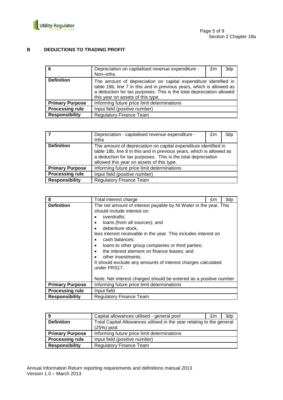

#### **B DEDUCTIONS TO TRADING PROFIT**

| 6                      | Depreciation on capitalised revenue expenditure -<br>Non-infra                                                                                                                                                                                       | £m | 3dp |
|------------------------|------------------------------------------------------------------------------------------------------------------------------------------------------------------------------------------------------------------------------------------------------|----|-----|
| <b>Definition</b>      | The amount of depreciation on capital expenditure identified in<br>table 18b, line 7 in this and in previous years, which is allowed as<br>a deduction for tax purposes. This is the total depreciation allowed<br>this year on assets of this type. |    |     |
| <b>Primary Purpose</b> | Informing future price limit determinations                                                                                                                                                                                                          |    |     |
| <b>Processing rule</b> | Input field (positive number)                                                                                                                                                                                                                        |    |     |
| <b>Responsibility</b>  | <b>Regulatory Finance Team</b>                                                                                                                                                                                                                       |    |     |

|                        | Depreciation - capitalised revenue expenditure -<br>Infra                                                                                                                                                                                            | £m | 3dp |
|------------------------|------------------------------------------------------------------------------------------------------------------------------------------------------------------------------------------------------------------------------------------------------|----|-----|
| <b>Definition</b>      | The amount of depreciation on capital expenditure identified in<br>table 18b, line 8 in this and in previous years, which is allowed as<br>a deduction for tax purposes. This is the total depreciation<br>allowed this year on assets of this type. |    |     |
| <b>Primary Purpose</b> | Informing future price limit determinations                                                                                                                                                                                                          |    |     |
| <b>Processing rule</b> | Input field (positive number)                                                                                                                                                                                                                        |    |     |
| <b>Responsibility</b>  | Regulatory Finance Team                                                                                                                                                                                                                              |    |     |

| 8                      | Total interest charge                                                                                                                                                                                                                                                                                                                                                                                                                                                                                                                                                              | £m | 3dp |
|------------------------|------------------------------------------------------------------------------------------------------------------------------------------------------------------------------------------------------------------------------------------------------------------------------------------------------------------------------------------------------------------------------------------------------------------------------------------------------------------------------------------------------------------------------------------------------------------------------------|----|-----|
| <b>Definition</b>      | The net amount of interest payable by NI Water in the year. This<br>should include interest on:<br>overdrafts:<br>loans (from all sources); and<br>$\bullet$<br>debenture stock,<br>less interest receivable in the year. This includes interest on<br>cash balances;<br>$\bullet$<br>loans to other group companies or third parties;<br>٠<br>the interest element on finance leases; and<br>$\bullet$<br>other investments.<br>It should exclude any amounts of interest charges calculated<br>under FRS17.<br>Note: Net interest charged should be entered as a positive number |    |     |
| <b>Primary Purpose</b> | Informing future price limit determinations                                                                                                                                                                                                                                                                                                                                                                                                                                                                                                                                        |    |     |
| <b>Processing rule</b> | Input field                                                                                                                                                                                                                                                                                                                                                                                                                                                                                                                                                                        |    |     |
| <b>Responsibility</b>  | <b>Regulatory Finance Team</b>                                                                                                                                                                                                                                                                                                                                                                                                                                                                                                                                                     |    |     |

| ı9                     | Capital allowances utilised - general pool                                           | £m | 3dp |
|------------------------|--------------------------------------------------------------------------------------|----|-----|
| <b>Definition</b>      | Total Capital Allowances utilised in the year relating to the general<br>(25%) pool. |    |     |
| <b>Primary Purpose</b> | Informing future price limit determinations                                          |    |     |
| <b>Processing rule</b> | Input field (positive number)                                                        |    |     |
| <b>Responsibility</b>  | <b>Regulatory Finance Team</b>                                                       |    |     |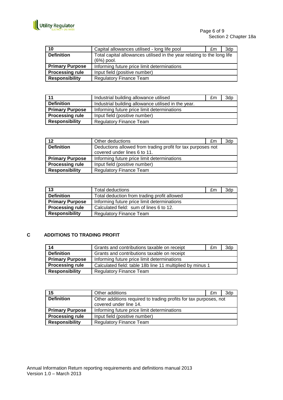

Page 6 of 9 Section 2 Chapter 18a

| 10                     | Capital allowances utilised - long life pool                                            | £m | 3dp |
|------------------------|-----------------------------------------------------------------------------------------|----|-----|
| <b>Definition</b>      | Total capital allowances utilised in the year relating to the long life<br>$(6%)$ pool. |    |     |
| <b>Primary Purpose</b> | Informing future price limit determinations                                             |    |     |
| <b>Processing rule</b> | Input field (positive number)                                                           |    |     |
| <b>Responsibility</b>  | <b>Regulatory Finance Team</b>                                                          |    |     |

| 11                     | Industrial building allowance utilised              | £m | 3dp |
|------------------------|-----------------------------------------------------|----|-----|
| <b>Definition</b>      | Industrial building allowance utilised in the year. |    |     |
| <b>Primary Purpose</b> | Informing future price limit determinations         |    |     |
| <b>Processing rule</b> | Input field (positive number)                       |    |     |
| <b>Responsibility</b>  | <b>Regulatory Finance Team</b>                      |    |     |

| 12                     | Other deductions                                                                            | £m | 3dp |
|------------------------|---------------------------------------------------------------------------------------------|----|-----|
| <b>Definition</b>      | Deductions allowed from trading profit for tax purposes not<br>covered under lines 6 to 11. |    |     |
| <b>Primary Purpose</b> | Informing future price limit determinations                                                 |    |     |
| <b>Processing rule</b> | Input field (positive number)                                                               |    |     |
| <b>Responsibility</b>  | <b>Regulatory Finance Team</b>                                                              |    |     |

| 13                     | Total deductions                            | £m | 3dp |
|------------------------|---------------------------------------------|----|-----|
| <b>Definition</b>      | Total deduction from trading profit allowed |    |     |
| <b>Primary Purpose</b> | Informing future price limit determinations |    |     |
| <b>Processing rule</b> | Calculated field: sum of lines 6 to 12.     |    |     |
| <b>Responsibility</b>  | <b>Regulatory Finance Team</b>              |    |     |

#### **C ADDITIONS TO TRADING PROFIT**

| 14                     | Grants and contributions taxable on receipt               | £m | 3dp |
|------------------------|-----------------------------------------------------------|----|-----|
| <b>Definition</b>      | Grants and contributions taxable on receipt               |    |     |
| <b>Primary Purpose</b> | Informing future price limit determinations               |    |     |
| <b>Processing rule</b> | Calculated field: table 18b line 11 multiplied by minus 1 |    |     |
| <b>Responsibility</b>  | <b>Regulatory Finance Team</b>                            |    |     |

| 15                     | Other additions                                                   | £m | 3dp |
|------------------------|-------------------------------------------------------------------|----|-----|
| <b>Definition</b>      | Other additions required to trading profits for tax purposes, not |    |     |
|                        | covered under line 14.                                            |    |     |
| <b>Primary Purpose</b> | Informing future price limit determinations                       |    |     |
| <b>Processing rule</b> | Input field (positive number)                                     |    |     |
| <b>Responsibility</b>  | <b>Regulatory Finance Team</b>                                    |    |     |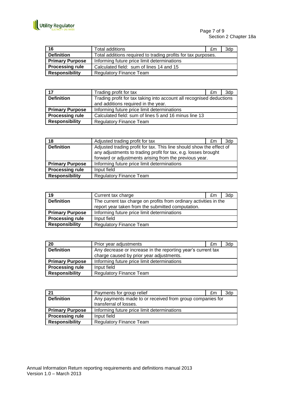

Page 7 of 9 Section 2 Chapter 18a

| 16                     | Total additions                                               | £m | 3dp |
|------------------------|---------------------------------------------------------------|----|-----|
| <b>Definition</b>      | Total additions required to trading profits for tax purposes. |    |     |
| <b>Primary Purpose</b> | Informing future price limit determinations                   |    |     |
| <b>Processing rule</b> | Calculated field: sum of lines 14 and 15                      |    |     |
| <b>Responsibility</b>  | <b>Regulatory Finance Team</b>                                |    |     |

| 17                     | Trading profit for tax                                               | £m | 3d <sub>p</sub> |
|------------------------|----------------------------------------------------------------------|----|-----------------|
| <b>Definition</b>      | Trading profit for tax taking into account all recognised deductions |    |                 |
|                        | and additions required in the year.                                  |    |                 |
| <b>Primary Purpose</b> | Informing future price limit determinations                          |    |                 |
| <b>Processing rule</b> | Calculated field: sum of lines 5 and 16 minus line 13                |    |                 |
| <b>Responsibility</b>  | <b>Regulatory Finance Team</b>                                       |    |                 |

| 18                     | Adjusted trading profit for tax                                                                                                                                                                  | £m | 3dp |
|------------------------|--------------------------------------------------------------------------------------------------------------------------------------------------------------------------------------------------|----|-----|
| <b>Definition</b>      | Adjusted trading profit for tax. This line should show the effect of<br>any adjustments to trading profit for tax, e.g. losses brought<br>forward or adjustments arising from the previous year. |    |     |
| <b>Primary Purpose</b> | Informing future price limit determinations                                                                                                                                                      |    |     |
| <b>Processing rule</b> | Input field                                                                                                                                                                                      |    |     |
| <b>Responsibility</b>  | <b>Regulatory Finance Team</b>                                                                                                                                                                   |    |     |

| 19                     | Current tax charge                                                | £m | 3dp |
|------------------------|-------------------------------------------------------------------|----|-----|
| <b>Definition</b>      | The current tax charge on profits from ordinary activities in the |    |     |
|                        | report year taken from the submitted computation.                 |    |     |
| <b>Primary Purpose</b> | Informing future price limit determinations                       |    |     |
| <b>Processing rule</b> | Input field                                                       |    |     |
| <b>Responsibility</b>  | <b>Regulatory Finance Team</b>                                    |    |     |

| 20                     | Prior year adjustments                                       | £m | 3dp |
|------------------------|--------------------------------------------------------------|----|-----|
| <b>Definition</b>      | Any decrease or increase in the reporting year's current tax |    |     |
|                        | charge caused by prior year adjustments.                     |    |     |
| <b>Primary Purpose</b> | Informing future price limit determinations                  |    |     |
| <b>Processing rule</b> | Input field                                                  |    |     |
| <b>Responsibility</b>  | <b>Regulatory Finance Team</b>                               |    |     |

| 21                     | Payments for group relief                                                           | £m | 3d <sub>p</sub> |
|------------------------|-------------------------------------------------------------------------------------|----|-----------------|
| <b>Definition</b>      | Any payments made to or received from group companies for<br>transferral of losses. |    |                 |
|                        |                                                                                     |    |                 |
| <b>Primary Purpose</b> | Informing future price limit determinations                                         |    |                 |
| <b>Processing rule</b> | Input field                                                                         |    |                 |
| <b>Responsibility</b>  | <b>Regulatory Finance Team</b>                                                      |    |                 |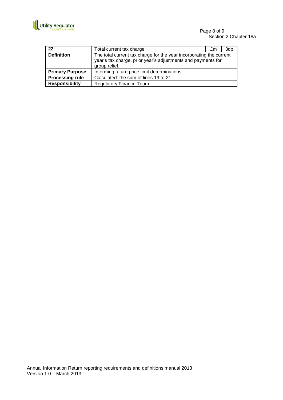

Page 8 of 9 Section 2 Chapter 18a

| 22                     | Total current tax charge                                                                                                                             | £m | 3dp |
|------------------------|------------------------------------------------------------------------------------------------------------------------------------------------------|----|-----|
| <b>Definition</b>      | The total current tax charge for the year incorporating the current<br>year's tax charge, prior year's adjustments and payments for<br>group relief. |    |     |
| <b>Primary Purpose</b> | Informing future price limit determinations                                                                                                          |    |     |
| <b>Processing rule</b> | Calculated: the sum of lines 19 to 21                                                                                                                |    |     |
| <b>Responsibility</b>  | <b>Regulatory Finance Team</b>                                                                                                                       |    |     |